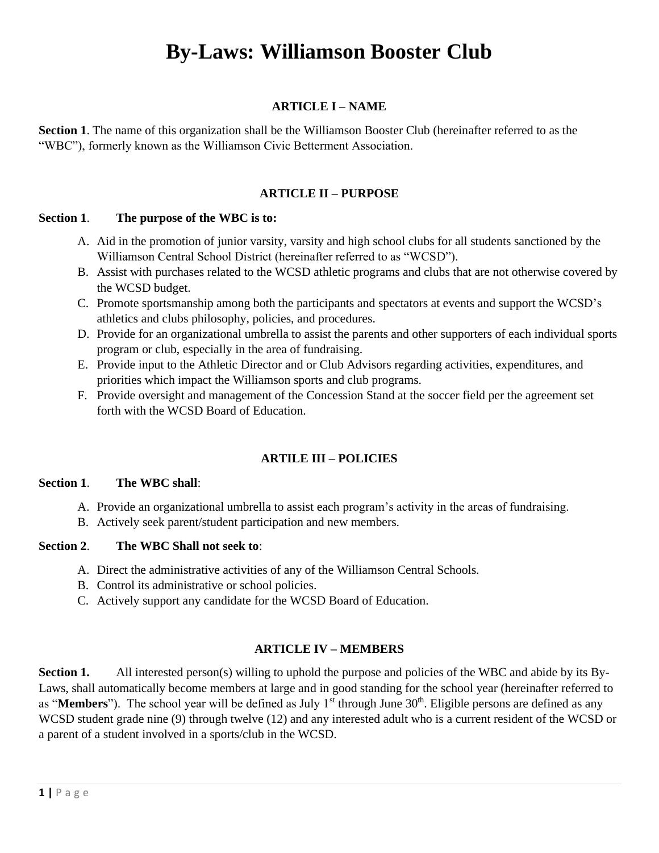# **By-Laws: Williamson Booster Club**

## **ARTICLE I – NAME**

**Section 1**. The name of this organization shall be the Williamson Booster Club (hereinafter referred to as the "WBC"), formerly known as the Williamson Civic Betterment Association.

## **ARTICLE II – PURPOSE**

#### **Section 1**. **The purpose of the WBC is to:**

- A. Aid in the promotion of junior varsity, varsity and high school clubs for all students sanctioned by the Williamson Central School District (hereinafter referred to as "WCSD").
- B. Assist with purchases related to the WCSD athletic programs and clubs that are not otherwise covered by the WCSD budget.
- C. Promote sportsmanship among both the participants and spectators at events and support the WCSD's athletics and clubs philosophy, policies, and procedures.
- D. Provide for an organizational umbrella to assist the parents and other supporters of each individual sports program or club, especially in the area of fundraising.
- E. Provide input to the Athletic Director and or Club Advisors regarding activities, expenditures, and priorities which impact the Williamson sports and club programs.
- F. Provide oversight and management of the Concession Stand at the soccer field per the agreement set forth with the WCSD Board of Education.

## **ARTILE III – POLICIES**

#### **Section 1**. **The WBC shall**:

- A. Provide an organizational umbrella to assist each program's activity in the areas of fundraising.
- B. Actively seek parent/student participation and new members.

#### **Section 2**. **The WBC Shall not seek to**:

- A. Direct the administrative activities of any of the Williamson Central Schools.
- B. Control its administrative or school policies.
- C. Actively support any candidate for the WCSD Board of Education.

#### **ARTICLE IV – MEMBERS**

**Section 1.** All interested person(s) willing to uphold the purpose and policies of the WBC and abide by its By-Laws, shall automatically become members at large and in good standing for the school year (hereinafter referred to as "**Members**"). The school year will be defined as July 1<sup>st</sup> through June 30<sup>th</sup>. Eligible persons are defined as any WCSD student grade nine (9) through twelve (12) and any interested adult who is a current resident of the WCSD or a parent of a student involved in a sports/club in the WCSD.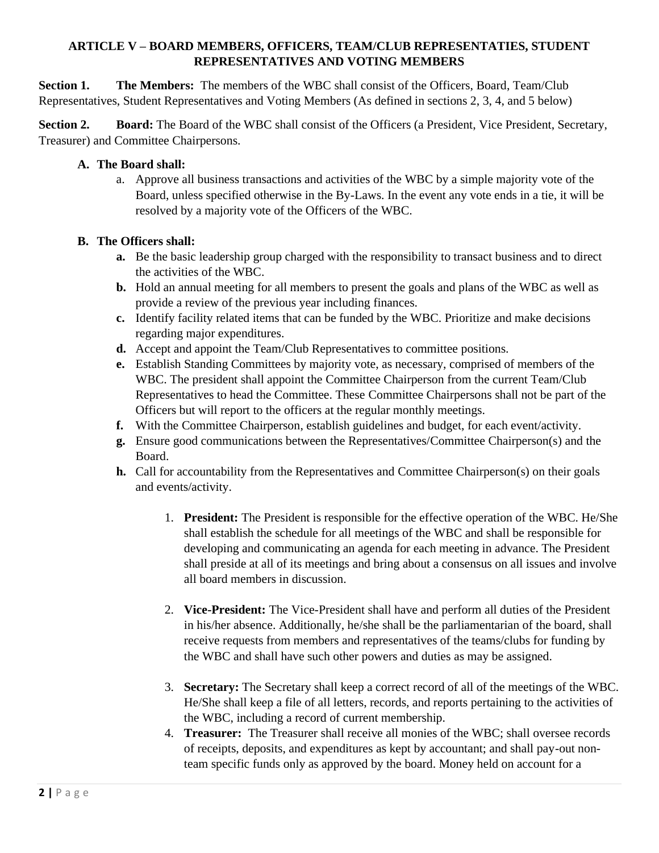# **ARTICLE V – BOARD MEMBERS, OFFICERS, TEAM/CLUB REPRESENTATIES, STUDENT REPRESENTATIVES AND VOTING MEMBERS**

**Section 1.** The Members: The members of the WBC shall consist of the Officers, Board, Team/Club Representatives, Student Representatives and Voting Members (As defined in sections 2, 3, 4, and 5 below)

**Section 2.** Board: The Board of the WBC shall consist of the Officers (a President, Vice President, Secretary, Treasurer) and Committee Chairpersons.

## **A. The Board shall:**

a. Approve all business transactions and activities of the WBC by a simple majority vote of the Board, unless specified otherwise in the By-Laws. In the event any vote ends in a tie, it will be resolved by a majority vote of the Officers of the WBC.

## **B. The Officers shall:**

- **a.** Be the basic leadership group charged with the responsibility to transact business and to direct the activities of the WBC.
- **b.** Hold an annual meeting for all members to present the goals and plans of the WBC as well as provide a review of the previous year including finances.
- **c.** Identify facility related items that can be funded by the WBC. Prioritize and make decisions regarding major expenditures.
- **d.** Accept and appoint the Team/Club Representatives to committee positions.
- **e.** Establish Standing Committees by majority vote, as necessary, comprised of members of the WBC. The president shall appoint the Committee Chairperson from the current Team/Club Representatives to head the Committee. These Committee Chairpersons shall not be part of the Officers but will report to the officers at the regular monthly meetings.
- **f.** With the Committee Chairperson, establish guidelines and budget, for each event/activity.
- **g.** Ensure good communications between the Representatives/Committee Chairperson(s) and the Board.
- **h.** Call for accountability from the Representatives and Committee Chairperson(s) on their goals and events/activity.
	- 1. **President:** The President is responsible for the effective operation of the WBC. He/She shall establish the schedule for all meetings of the WBC and shall be responsible for developing and communicating an agenda for each meeting in advance. The President shall preside at all of its meetings and bring about a consensus on all issues and involve all board members in discussion.
	- 2. **Vice-President:** The Vice-President shall have and perform all duties of the President in his/her absence. Additionally, he/she shall be the parliamentarian of the board, shall receive requests from members and representatives of the teams/clubs for funding by the WBC and shall have such other powers and duties as may be assigned.
	- 3. **Secretary:** The Secretary shall keep a correct record of all of the meetings of the WBC. He/She shall keep a file of all letters, records, and reports pertaining to the activities of the WBC, including a record of current membership.
	- 4. **Treasurer:** The Treasurer shall receive all monies of the WBC; shall oversee records of receipts, deposits, and expenditures as kept by accountant; and shall pay-out nonteam specific funds only as approved by the board. Money held on account for a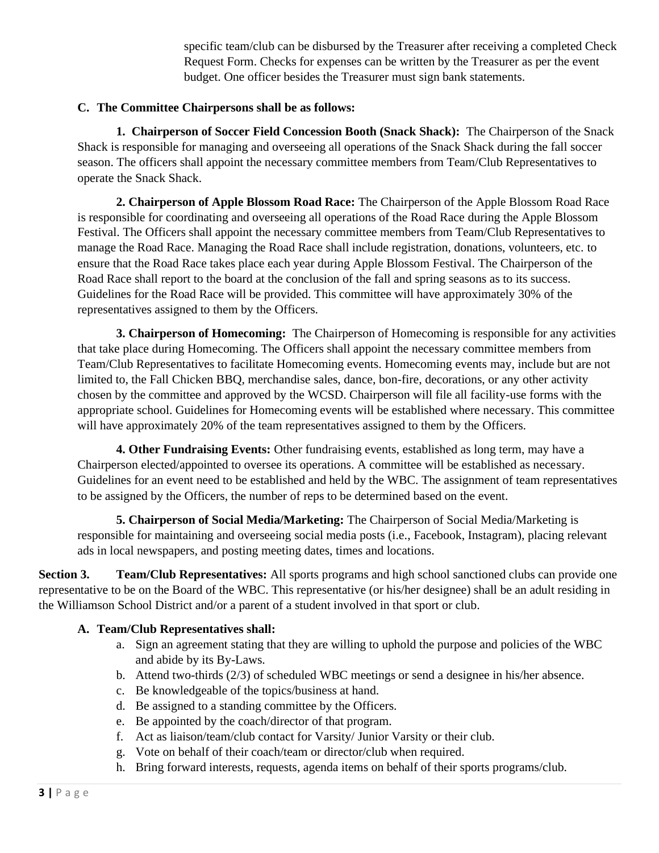specific team/club can be disbursed by the Treasurer after receiving a completed Check Request Form. Checks for expenses can be written by the Treasurer as per the event budget. One officer besides the Treasurer must sign bank statements.

#### **C. The Committee Chairpersons shall be as follows:**

**1. Chairperson of Soccer Field Concession Booth (Snack Shack):** The Chairperson of the Snack Shack is responsible for managing and overseeing all operations of the Snack Shack during the fall soccer season. The officers shall appoint the necessary committee members from Team/Club Representatives to operate the Snack Shack.

**2. Chairperson of Apple Blossom Road Race:** The Chairperson of the Apple Blossom Road Race is responsible for coordinating and overseeing all operations of the Road Race during the Apple Blossom Festival. The Officers shall appoint the necessary committee members from Team/Club Representatives to manage the Road Race. Managing the Road Race shall include registration, donations, volunteers, etc. to ensure that the Road Race takes place each year during Apple Blossom Festival. The Chairperson of the Road Race shall report to the board at the conclusion of the fall and spring seasons as to its success. Guidelines for the Road Race will be provided. This committee will have approximately 30% of the representatives assigned to them by the Officers.

**3. Chairperson of Homecoming:** The Chairperson of Homecoming is responsible for any activities that take place during Homecoming. The Officers shall appoint the necessary committee members from Team/Club Representatives to facilitate Homecoming events. Homecoming events may, include but are not limited to, the Fall Chicken BBQ, merchandise sales, dance, bon-fire, decorations, or any other activity chosen by the committee and approved by the WCSD. Chairperson will file all facility-use forms with the appropriate school. Guidelines for Homecoming events will be established where necessary. This committee will have approximately 20% of the team representatives assigned to them by the Officers.

**4. Other Fundraising Events:** Other fundraising events, established as long term, may have a Chairperson elected/appointed to oversee its operations. A committee will be established as necessary. Guidelines for an event need to be established and held by the WBC. The assignment of team representatives to be assigned by the Officers, the number of reps to be determined based on the event.

**5. Chairperson of Social Media/Marketing:** The Chairperson of Social Media/Marketing is responsible for maintaining and overseeing social media posts (i.e., Facebook, Instagram), placing relevant ads in local newspapers, and posting meeting dates, times and locations.

**Section 3. Team/Club Representatives:** All sports programs and high school sanctioned clubs can provide one representative to be on the Board of the WBC. This representative (or his/her designee) shall be an adult residing in the Williamson School District and/or a parent of a student involved in that sport or club.

#### **A. Team/Club Representatives shall:**

- a. Sign an agreement stating that they are willing to uphold the purpose and policies of the WBC and abide by its By-Laws.
- b. Attend two-thirds (2/3) of scheduled WBC meetings or send a designee in his/her absence.
- c. Be knowledgeable of the topics/business at hand.
- d. Be assigned to a standing committee by the Officers.
- e. Be appointed by the coach/director of that program.
- f. Act as liaison/team/club contact for Varsity/ Junior Varsity or their club.
- g. Vote on behalf of their coach/team or director/club when required.
- h. Bring forward interests, requests, agenda items on behalf of their sports programs/club.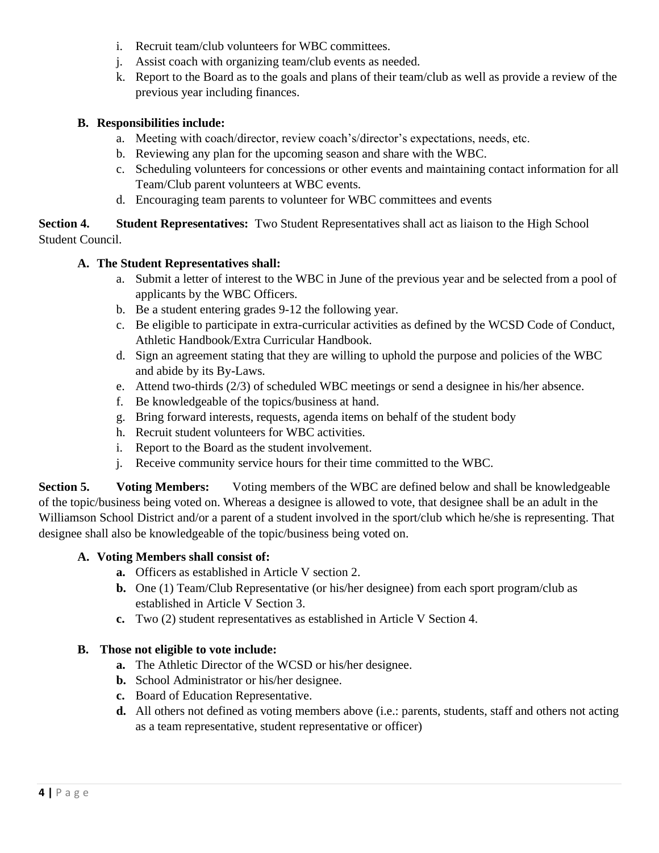- i. Recruit team/club volunteers for WBC committees.
- j. Assist coach with organizing team/club events as needed.
- k. Report to the Board as to the goals and plans of their team/club as well as provide a review of the previous year including finances.

# **B. Responsibilities include:**

- a. Meeting with coach/director, review coach's/director's expectations, needs, etc.
- b. Reviewing any plan for the upcoming season and share with the WBC.
- c. Scheduling volunteers for concessions or other events and maintaining contact information for all Team/Club parent volunteers at WBC events.
- d. Encouraging team parents to volunteer for WBC committees and events

**Section 4. Student Representatives:** Two Student Representatives shall act as liaison to the High School Student Council.

# **A. The Student Representatives shall:**

- a. Submit a letter of interest to the WBC in June of the previous year and be selected from a pool of applicants by the WBC Officers.
- b. Be a student entering grades 9-12 the following year.
- c. Be eligible to participate in extra-curricular activities as defined by the WCSD Code of Conduct, Athletic Handbook/Extra Curricular Handbook.
- d. Sign an agreement stating that they are willing to uphold the purpose and policies of the WBC and abide by its By-Laws.
- e. Attend two-thirds (2/3) of scheduled WBC meetings or send a designee in his/her absence.
- f. Be knowledgeable of the topics/business at hand.
- g. Bring forward interests, requests, agenda items on behalf of the student body
- h. Recruit student volunteers for WBC activities.
- i. Report to the Board as the student involvement.
- j. Receive community service hours for their time committed to the WBC.

**Section 5. Voting Members:** Voting members of the WBC are defined below and shall be knowledgeable of the topic/business being voted on. Whereas a designee is allowed to vote, that designee shall be an adult in the Williamson School District and/or a parent of a student involved in the sport/club which he/she is representing. That designee shall also be knowledgeable of the topic/business being voted on.

## **A. Voting Members shall consist of:**

- **a.** Officers as established in Article V section 2.
- **b.** One (1) Team/Club Representative (or his/her designee) from each sport program/club as established in Article V Section 3.
- **c.** Two (2) student representatives as established in Article V Section 4.

## **B. Those not eligible to vote include:**

- **a.** The Athletic Director of the WCSD or his/her designee.
- **b.** School Administrator or his/her designee.
- **c.** Board of Education Representative.
- **d.** All others not defined as voting members above (i.e.: parents, students, staff and others not acting as a team representative, student representative or officer)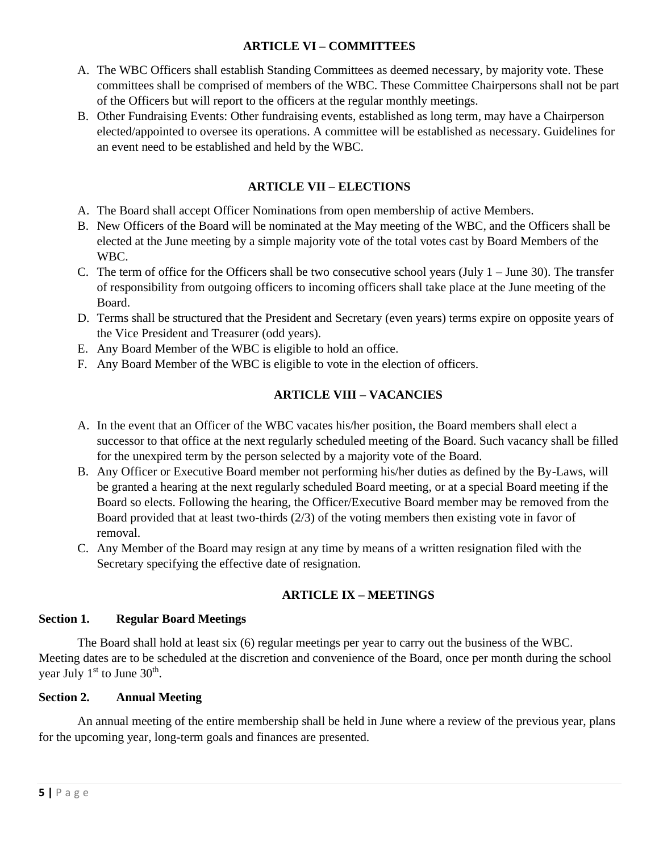## **ARTICLE VI – COMMITTEES**

- A. The WBC Officers shall establish Standing Committees as deemed necessary, by majority vote. These committees shall be comprised of members of the WBC. These Committee Chairpersons shall not be part of the Officers but will report to the officers at the regular monthly meetings.
- B. Other Fundraising Events: Other fundraising events, established as long term, may have a Chairperson elected/appointed to oversee its operations. A committee will be established as necessary. Guidelines for an event need to be established and held by the WBC.

# **ARTICLE VII – ELECTIONS**

- A. The Board shall accept Officer Nominations from open membership of active Members.
- B. New Officers of the Board will be nominated at the May meeting of the WBC, and the Officers shall be elected at the June meeting by a simple majority vote of the total votes cast by Board Members of the WBC.
- C. The term of office for the Officers shall be two consecutive school years (July  $1 -$  June 30). The transfer of responsibility from outgoing officers to incoming officers shall take place at the June meeting of the Board.
- D. Terms shall be structured that the President and Secretary (even years) terms expire on opposite years of the Vice President and Treasurer (odd years).
- E. Any Board Member of the WBC is eligible to hold an office.
- F. Any Board Member of the WBC is eligible to vote in the election of officers.

## **ARTICLE VIII – VACANCIES**

- A. In the event that an Officer of the WBC vacates his/her position, the Board members shall elect a successor to that office at the next regularly scheduled meeting of the Board. Such vacancy shall be filled for the unexpired term by the person selected by a majority vote of the Board.
- B. Any Officer or Executive Board member not performing his/her duties as defined by the By-Laws, will be granted a hearing at the next regularly scheduled Board meeting, or at a special Board meeting if the Board so elects. Following the hearing, the Officer/Executive Board member may be removed from the Board provided that at least two-thirds (2/3) of the voting members then existing vote in favor of removal.
- C. Any Member of the Board may resign at any time by means of a written resignation filed with the Secretary specifying the effective date of resignation.

#### **ARTICLE IX – MEETINGS**

#### **Section 1. Regular Board Meetings**

The Board shall hold at least six (6) regular meetings per year to carry out the business of the WBC. Meeting dates are to be scheduled at the discretion and convenience of the Board, once per month during the school year July  $1<sup>st</sup>$  to June  $30<sup>th</sup>$ .

#### **Section 2. Annual Meeting**

An annual meeting of the entire membership shall be held in June where a review of the previous year, plans for the upcoming year, long-term goals and finances are presented.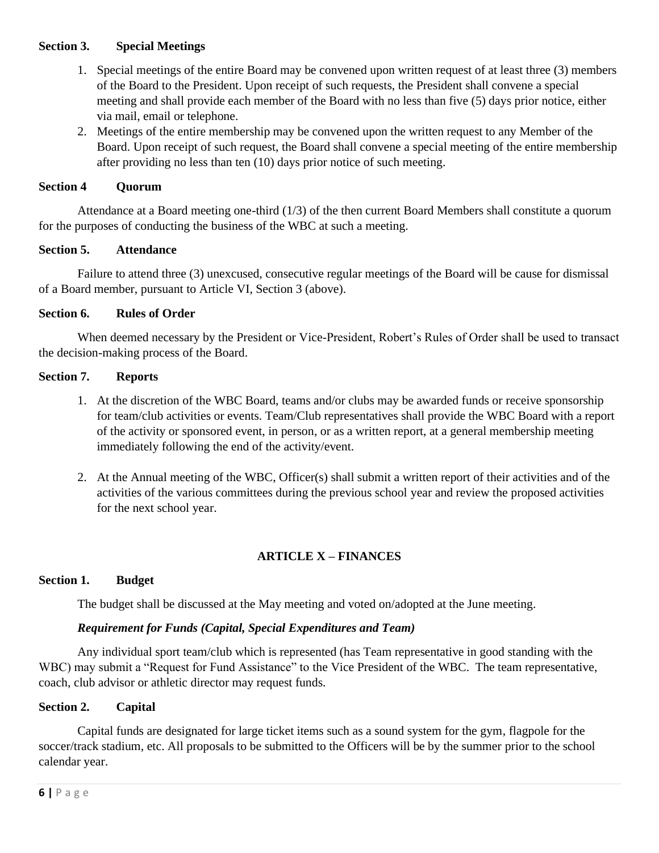#### **Section 3. Special Meetings**

- 1. Special meetings of the entire Board may be convened upon written request of at least three (3) members of the Board to the President. Upon receipt of such requests, the President shall convene a special meeting and shall provide each member of the Board with no less than five (5) days prior notice, either via mail, email or telephone.
- 2. Meetings of the entire membership may be convened upon the written request to any Member of the Board. Upon receipt of such request, the Board shall convene a special meeting of the entire membership after providing no less than ten (10) days prior notice of such meeting.

## **Section 4 Quorum**

Attendance at a Board meeting one-third (1/3) of the then current Board Members shall constitute a quorum for the purposes of conducting the business of the WBC at such a meeting.

## **Section 5. Attendance**

Failure to attend three (3) unexcused, consecutive regular meetings of the Board will be cause for dismissal of a Board member, pursuant to Article VI, Section 3 (above).

## **Section 6. Rules of Order**

When deemed necessary by the President or Vice-President, Robert's Rules of Order shall be used to transact the decision-making process of the Board.

#### **Section 7. Reports**

- 1. At the discretion of the WBC Board, teams and/or clubs may be awarded funds or receive sponsorship for team/club activities or events. Team/Club representatives shall provide the WBC Board with a report of the activity or sponsored event, in person, or as a written report, at a general membership meeting immediately following the end of the activity/event.
- 2. At the Annual meeting of the WBC, Officer(s) shall submit a written report of their activities and of the activities of the various committees during the previous school year and review the proposed activities for the next school year.

## **ARTICLE X – FINANCES**

#### **Section 1. Budget**

The budget shall be discussed at the May meeting and voted on/adopted at the June meeting.

#### *Requirement for Funds (Capital, Special Expenditures and Team)*

Any individual sport team/club which is represented (has Team representative in good standing with the WBC) may submit a "Request for Fund Assistance" to the Vice President of the WBC. The team representative, coach, club advisor or athletic director may request funds.

#### **Section 2. Capital**

Capital funds are designated for large ticket items such as a sound system for the gym, flagpole for the soccer/track stadium, etc. All proposals to be submitted to the Officers will be by the summer prior to the school calendar year.